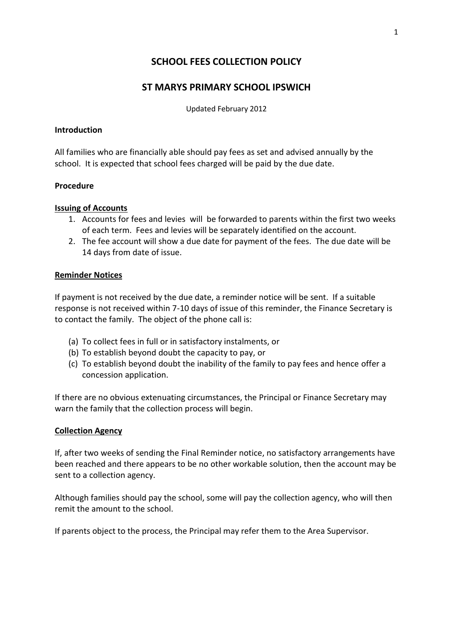# **SCHOOL FEES COLLECTION POLICY**

## **ST MARYS PRIMARY SCHOOL IPSWICH**

Updated February 2012

#### **Introduction**

All families who are financially able should pay fees as set and advised annually by the school. It is expected that school fees charged will be paid by the due date.

#### **Procedure**

### **Issuing of Accounts**

- 1. Accounts for fees and levies will be forwarded to parents within the first two weeks of each term. Fees and levies will be separately identified on the account.
- 2. The fee account will show a due date for payment of the fees. The due date will be 14 days from date of issue.

#### **Reminder Notices**

If payment is not received by the due date, a reminder notice will be sent. If a suitable response is not received within 7-10 days of issue of this reminder, the Finance Secretary is to contact the family. The object of the phone call is:

- (a) To collect fees in full or in satisfactory instalments, or
- (b) To establish beyond doubt the capacity to pay, or
- (c) To establish beyond doubt the inability of the family to pay fees and hence offer a concession application.

If there are no obvious extenuating circumstances, the Principal or Finance Secretary may warn the family that the collection process will begin.

#### **Collection Agency**

If, after two weeks of sending the Final Reminder notice, no satisfactory arrangements have been reached and there appears to be no other workable solution, then the account may be sent to a collection agency.

Although families should pay the school, some will pay the collection agency, who will then remit the amount to the school.

If parents object to the process, the Principal may refer them to the Area Supervisor.